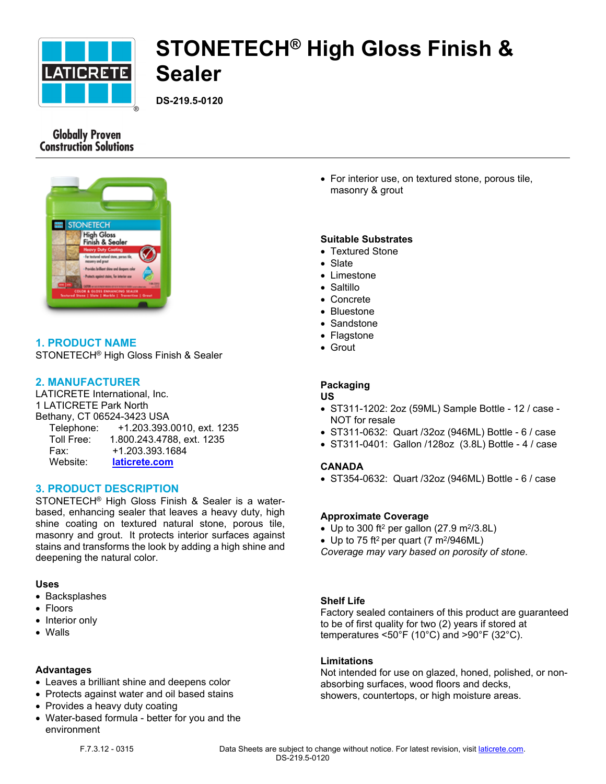

# **STONETECH® High Gloss Finish & Sealer**

**DS-219.5-0120**

# **Globally Proven Construction Solutions**



# **1. PRODUCT NAME**

STONETECH® High Gloss Finish & Sealer

# **2. MANUFACTURER**

LATICRETE International, Inc. 1 LATICRETE Park North Bethany, CT 06524-3423 USA Telephone: +1.203.393.0010, ext. 1235 Toll Free: 1.800.243.4788, ext. 1235 Fax: +1.203.393.1684 Website: **[laticrete.com](https://laticrete.com/)**

## **3. PRODUCT DESCRIPTION**

STONETECH® High Gloss Finish & Sealer is a waterbased, enhancing sealer that leaves a heavy duty, high shine coating on textured natural stone, porous tile, masonry and grout. It protects interior surfaces against stains and transforms the look by adding a high shine and deepening the natural color.

### **Uses**

- Backsplashes
- Floors
- Interior only
- Walls

#### **Advantages**

- Leaves a brilliant shine and deepens color
- Protects against water and oil based stains
- Provides a heavy duty coating
- Water-based formula better for you and the environment

 For interior use, on textured stone, porous tile, masonry & grout

#### **Suitable Substrates**

- Textured Stone
- Slate
- $\bullet$  Limestone
- Saltillo
- Concrete
- Bluestone
- Sandstone
- Flagstone
- Grout

#### **Packaging**

#### **US**

- ST311-1202: 2oz (59ML) Sample Bottle 12 / case NOT for resale
- ST311-0632: Quart /32oz (946ML) Bottle 6 / case
- ST311-0401: Gallon /128oz (3.8L) Bottle 4 / case

#### **CANADA**

ST354-0632: Quart /32oz (946ML) Bottle - 6 / case

#### **Approximate Coverage**

- Up to 300 ft<sup>2</sup> per gallon (27.9 m<sup>2</sup>/3.8L)
- Up to 75 ft<sup>2</sup> per quart (7 m<sup>2</sup>/946ML)

*Coverage may vary based on porosity of stone.*

#### **Shelf Life**

Factory sealed containers of this product are guaranteed to be of first quality for two (2) years if stored at temperatures <50°F (10°C) and >90°F (32°C).

#### **Limitations**

Not intended for use on glazed, honed, polished, or nonabsorbing surfaces, wood floors and decks, showers, countertops, or high moisture areas.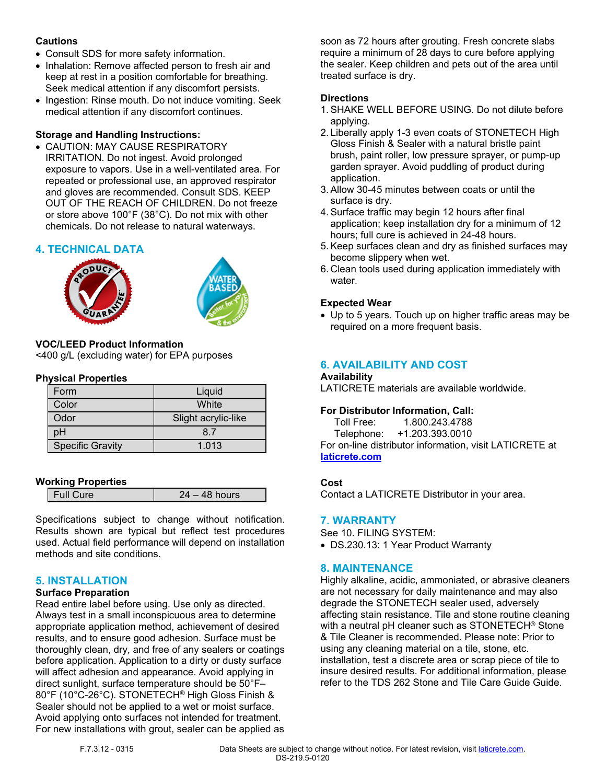## **Cautions**

- Consult SDS for more safety information.
- Inhalation: Remove affected person to fresh air and keep at rest in a position comfortable for breathing. Seek medical attention if any discomfort persists.
- Ingestion: Rinse mouth. Do not induce vomiting. Seek medical attention if any discomfort continues.

# **Storage and Handling Instructions:**

 CAUTION: MAY CAUSE RESPIRATORY IRRITATION. Do not ingest. Avoid prolonged exposure to vapors. Use in a well-ventilated area. For repeated or professional use, an approved respirator and gloves are recommended. Consult SDS. KEEP OUT OF THE REACH OF CHILDREN. Do not freeze or store above 100°F (38°C). Do not mix with other chemicals. Do not release to natural waterways.

# **4. TECHNICAL DATA**





#### **VOC/LEED Product Information** <400 g/L (excluding water) for EPA purposes

### **Physical Properties**

| Form                    | Liquid              |
|-------------------------|---------------------|
| Color                   | White               |
| Odor                    | Slight acrylic-like |
| oН                      | 87                  |
| <b>Specific Gravity</b> | 1.013               |

# **Working Properties**

Specifications subject to change without notification. Results shown are typical but reflect test procedures used. Actual field performance will depend on installation methods and site conditions.

# **5. INSTALLATION**

### **Surface Preparation**

Read entire label before using. Use only as directed. Always test in a small inconspicuous area to determine appropriate application method, achievement of desired results, and to ensure good adhesion. Surface must be thoroughly clean, dry, and free of any sealers or coatings before application. Application to a dirty or dusty surface will affect adhesion and appearance. Avoid applying in direct sunlight, surface temperature should be 50°F– 80°F (10°C-26°C). STONETECH® High Gloss Finish & Sealer should not be applied to a wet or moist surface. Avoid applying onto surfaces not intended for treatment. For new installations with grout, sealer can be applied as soon as 72 hours after grouting. Fresh concrete slabs require a minimum of 28 days to cure before applying the sealer. Keep children and pets out of the area until treated surface is dry.

# **Directions**

- 1. SHAKE WELL BEFORE USING. Do not dilute before applying.
- 2. Liberally apply 1-3 even coats of STONETECH High Gloss Finish & Sealer with a natural bristle paint brush, paint roller, low pressure sprayer, or pump-up garden sprayer. Avoid puddling of product during application.
- 3. Allow 30-45 minutes between coats or until the surface is dry.
- 4. Surface traffic may begin 12 hours after final application; keep installation dry for a minimum of 12 hours; full cure is achieved in 24-48 hours.
- 5. Keep surfaces clean and dry as finished surfaces may become slippery when wet.
- 6. Clean tools used during application immediately with water

# **Expected Wear**

 Up to 5 years. Touch up on higher traffic areas may be required on a more frequent basis.

# **6. AVAILABILITY AND COST**

### **Availability**

LATICRETE materials are available worldwide.

# **For Distributor Information, Call:**

 Toll Free: 1.800.243.4788 Telephone: +1.203.393.0010 For on-line distributor information, visit LATICRETE at **[laticrete.com](https://laticrete.com/)**

### **Cost**

Contact a LATICRETE Distributor in your area.

### **7. WARRANTY**

See 10. FILING SYSTEM:

DS.230.13: 1 Year Product Warranty

# **8. MAINTENANCE**

Highly alkaline, acidic, ammoniated, or abrasive cleaners are not necessary for daily maintenance and may also degrade the STONETECH sealer used, adversely affecting stain resistance. Tile and stone routine cleaning with a neutral pH cleaner such as STONETECH® Stone & Tile Cleaner is recommended. Please note: Prior to using any cleaning material on a tile, stone, etc. installation, test a discrete area or scrap piece of tile to insure desired results. For additional information, please refer to the TDS 262 Stone and Tile Care Guide Guide.